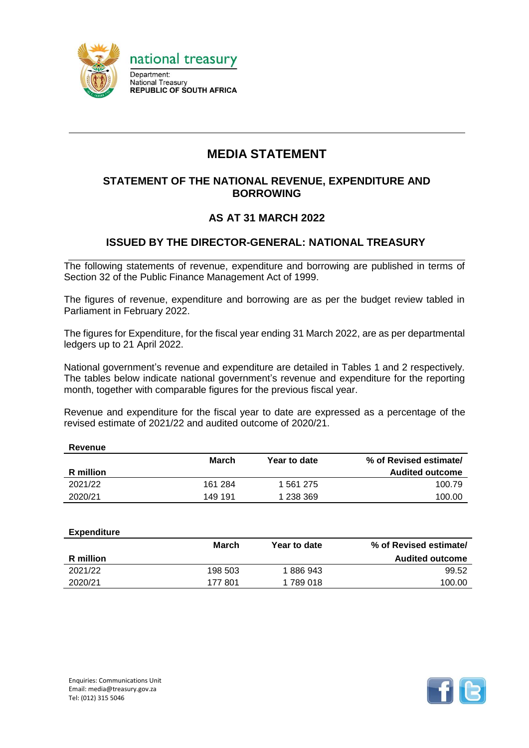

# **MEDIA STATEMENT**

#### **STATEMENT OF THE NATIONAL REVENUE, EXPENDITURE AND BORROWING**

### **AS AT 31 MARCH 2022**

### **ISSUED BY THE DIRECTOR-GENERAL: NATIONAL TREASURY**

The following statements of revenue, expenditure and borrowing are published in terms of Section 32 of the Public Finance Management Act of 1999.

The figures of revenue, expenditure and borrowing are as per the budget review tabled in Parliament in February 2022.

The figures for Expenditure, for the fiscal year ending 31 March 2022, are as per departmental ledgers up to 21 April 2022.

National government's revenue and expenditure are detailed in Tables 1 and 2 respectively. The tables below indicate national government's revenue and expenditure for the reporting month, together with comparable figures for the previous fiscal year.

Revenue and expenditure for the fiscal year to date are expressed as a percentage of the revised estimate of 2021/22 and audited outcome of 2020/21.

| Revenue   |         |              |                        |
|-----------|---------|--------------|------------------------|
|           | March   | Year to date | % of Revised estimate/ |
| R million |         |              | <b>Audited outcome</b> |
| 2021/22   | 161 284 | 1 561 275    | 100.79                 |
| 2020/21   | 149 191 | 1 238 369    | 100.00                 |

| <b>Expenditure</b> |         |              |                        |
|--------------------|---------|--------------|------------------------|
|                    | March   | Year to date | % of Revised estimate/ |
| R million          |         |              | <b>Audited outcome</b> |
| 2021/22            | 198 503 | 1886943      | 99.52                  |
| 2020/21            | 177 801 | 1789018      | 100.00                 |
|                    |         |              |                        |

**Revenue**